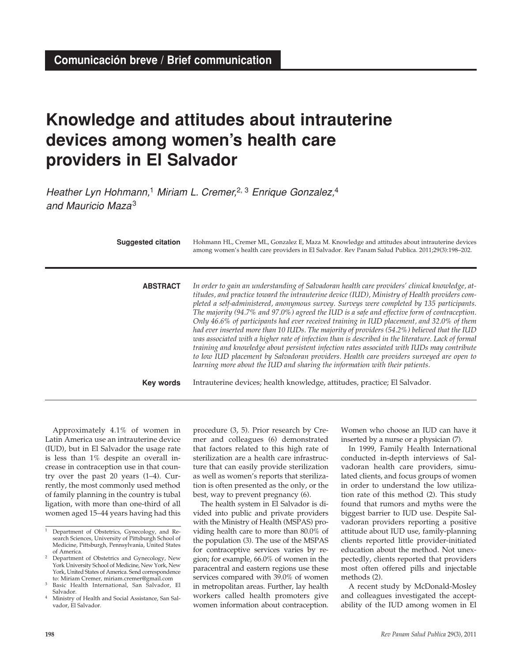## **Knowledge and attitudes about intrauterine devices among women's health care providers in El Salvador**

Heather Lyn Hohmann,<sup>1</sup> Miriam L. Cremer,<sup>2, 3</sup> Enrique Gonzalez,<sup>4</sup> and Mauricio Maza3

| <b>Suggested citation</b> | Hohmann HL, Cremer ML, Gonzalez E, Maza M. Knowledge and attitudes about intrauterine devices<br>among women's health care providers in El Salvador. Rev Panam Salud Publica. 2011;29(3):198-202.                                                                                                                                                                                                                                                                                                                                                                                                                                                                                                                                                                                                                                                                                                                                                                          |
|---------------------------|----------------------------------------------------------------------------------------------------------------------------------------------------------------------------------------------------------------------------------------------------------------------------------------------------------------------------------------------------------------------------------------------------------------------------------------------------------------------------------------------------------------------------------------------------------------------------------------------------------------------------------------------------------------------------------------------------------------------------------------------------------------------------------------------------------------------------------------------------------------------------------------------------------------------------------------------------------------------------|
| <b>ABSTRACT</b>           | In order to gain an understanding of Salvadoran health care providers' clinical knowledge, at-<br>titudes, and practice toward the intrauterine device (IUD), Ministry of Health providers com-<br>pleted a self-administered, anonymous survey. Surveys were completed by 135 participants.<br>The majority (94.7% and 97.0%) agreed the IUD is a safe and effective form of contraception.<br>Only 46.6% of participants had ever received training in IUD placement, and 32.0% of them<br>had ever inserted more than 10 IUDs. The majority of providers (54.2%) believed that the IUD<br>was associated with a higher rate of infection than is described in the literature. Lack of formal<br>training and knowledge about persistent infection rates associated with IUDs may contribute<br>to low IUD placement by Salvadoran providers. Health care providers surveyed are open to<br>learning more about the IUD and sharing the information with their patients. |
| <b>Key words</b>          | Intrauterine devices; health knowledge, attitudes, practice; El Salvador.                                                                                                                                                                                                                                                                                                                                                                                                                                                                                                                                                                                                                                                                                                                                                                                                                                                                                                  |

Approximately 4.1% of women in Latin America use an intrauterine device (IUD), but in El Salvador the usage rate is less than 1% despite an overall increase in contraception use in that country over the past 20 years (1–4). Currently, the most commonly used method of family planning in the country is tubal ligation, with more than one-third of all women aged 15–44 years having had this

procedure (3, 5). Prior research by Cremer and colleagues (6) demonstrated that factors related to this high rate of sterilization are a health care infrastructure that can easily provide sterilization as well as women's reports that sterilization is often presented as the only, or the best, way to prevent pregnancy (6).

The health system in El Salvador is divided into public and private providers with the Ministry of Health (MSPAS) providing health care to more than 80.0% of the population (3). The use of the MSPAS for contraceptive services varies by region; for example, 66.0% of women in the paracentral and eastern regions use these services compared with 39.0% of women in metropolitan areas. Further, lay health workers called health promoters give women information about contraception.

Women who choose an IUD can have it inserted by a nurse or a physician (7).

In 1999, Family Health International conducted in-depth interviews of Salvadoran health care providers, simulated clients, and focus groups of women in order to understand the low utilization rate of this method (2). This study found that rumors and myths were the biggest barrier to IUD use. Despite Salvadoran providers reporting a positive attitude about IUD use, family-planning clients reported little provider-initiated education about the method. Not unexpectedly, clients reported that providers most often offered pills and injectable methods (2).

A recent study by McDonald-Mosley and colleagues investigated the acceptability of the IUD among women in El

<sup>&</sup>lt;sup>1</sup> Department of Obstetrics, Gynecology, and Research Sciences, University of Pittsburgh School of Medicine, Pittsburgh, Pennsylvania, United States of America.

<sup>&</sup>lt;sup>2</sup> Department of Obstetrics and Gynecology, New York University School of Medicine, New York, New York, United States of America. Send correspondence to: Miriam Cremer, miriam.cremer@gmail.com

<sup>3</sup> Basic Health International, San Salvador, El Salvador.

<sup>4</sup> Ministry of Health and Social Assistance, San Salvador, El Salvador.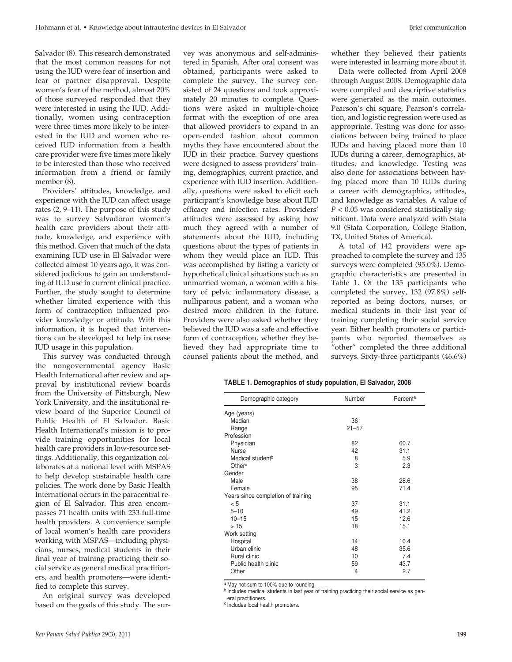Salvador (8). This research demonstrated that the most common reasons for not using the IUD were fear of insertion and fear of partner disapproval. Despite women's fear of the method, almost 20% of those surveyed responded that they were interested in using the IUD. Additionally, women using contraception were three times more likely to be interested in the IUD and women who received IUD information from a health care provider were five times more likely to be interested than those who received information from a friend or family member (8).

Providers' attitudes, knowledge, and experience with the IUD can affect usage rates (2, 9–11). The purpose of this study was to survey Salvadoran women's health care providers about their attitude, knowledge, and experience with this method. Given that much of the data examining IUD use in El Salvador were collected almost 10 years ago, it was considered judicious to gain an understanding of IUD use in current clinical practice. Further, the study sought to determine whether limited experience with this form of contraception influenced provider knowledge or attitude. With this information, it is hoped that interventions can be developed to help increase IUD usage in this population.

This survey was conducted through the nongovernmental agency Basic Health International after review and approval by institutional review boards from the University of Pittsburgh, New York University, and the institutional review board of the Superior Council of Public Health of El Salvador. Basic Health International's mission is to provide training opportunities for local health care providers in low-resource settings. Additionally, this organization collaborates at a national level with MSPAS to help develop sustainable health care policies. The work done by Basic Health International occurs in the paracentral region of El Salvador. This area encompasses 71 health units with 233 full-time health providers. A convenience sample of local women's health care providers working with MSPAS—including physicians, nurses, medical students in their final year of training practicing their social service as general medical practitioners, and health promoters—were identified to complete this survey.

An original survey was developed based on the goals of this study. The survey was anonymous and self-administered in Spanish. After oral consent was obtained, participants were asked to complete the survey. The survey consisted of 24 questions and took approximately 20 minutes to complete. Questions were asked in multiple-choice format with the exception of one area that allowed providers to expand in an open-ended fashion about common myths they have encountered about the IUD in their practice. Survey questions were designed to assess providers' training, demographics, current practice, and experience with IUD insertion. Additionally, questions were asked to elicit each participant's knowledge base about IUD efficacy and infection rates. Providers' attitudes were assessed by asking how much they agreed with a number of statements about the IUD, including questions about the types of patients in whom they would place an IUD. This was accomplished by listing a variety of hypothetical clinical situations such as an unmarried woman, a woman with a history of pelvic inflammatory disease, a nulliparous patient, and a woman who desired more children in the future. Providers were also asked whether they believed the IUD was a safe and effective form of contraception, whether they believed they had appropriate time to counsel patients about the method, and

whether they believed their patients were interested in learning more about it.

Data were collected from April 2008 through August 2008. Demographic data were compiled and descriptive statistics were generated as the main outcomes. Pearson's chi square, Pearson's correlation, and logistic regression were used as appropriate. Testing was done for associations between being trained to place IUDs and having placed more than 10 IUDs during a career, demographics, attitudes, and knowledge. Testing was also done for associations between having placed more than 10 IUDs during a career with demographics, attitudes, and knowledge as variables. A value of *P* < 0.05 was considered statistically significant. Data were analyzed with Stata 9.0 (Stata Corporation, College Station, TX, United States of America).

A total of 142 providers were approached to complete the survey and 135 surveys were completed (95.0%). Demographic characteristics are presented in Table 1. Of the 135 participants who completed the survey, 132 (97.8%) selfreported as being doctors, nurses, or medical students in their last year of training completing their social service year. Either health promoters or participants who reported themselves as "other" completed the three additional surveys. Sixty-three participants (46.6%)

|  | TABLE 1. Demographics of study population, El Salvador, 2008 |  |  |  |  |
|--|--------------------------------------------------------------|--|--|--|--|
|--|--------------------------------------------------------------|--|--|--|--|

| Demographic category               | Number         | Percent <sup>a</sup> |
|------------------------------------|----------------|----------------------|
| Age (years)                        |                |                      |
| Median                             | 36             |                      |
| Range                              | $21 - 57$      |                      |
| Profession                         |                |                      |
| Physician                          | 82             | 60.7                 |
| <b>Nurse</b>                       | 42             | 31.1                 |
| Medical student <sup>b</sup>       | 8              | 5.9                  |
| Other <sup>c</sup>                 | 3              | 2.3                  |
| Gender                             |                |                      |
| Male                               | 38             | 28.6                 |
| Female                             | 95             | 71.4                 |
| Years since completion of training |                |                      |
| < 5                                | 37             | 31.1                 |
| $5 - 10$                           | 49             | 41.2                 |
| $10 - 15$                          | 15             | 12.6                 |
| >15                                | 18             | 15.1                 |
| Work setting                       |                |                      |
| Hospital                           | 14             | 10.4                 |
| Urban clinic                       | 48             | 35.6                 |
| Rural clinic                       | 10             | 7.4                  |
| Public health clinic               | 59             | 43.7                 |
| Other                              | $\overline{4}$ | 2.7                  |

a May not sum to 100% due to rounding.

b Includes medical students in last year of training practicing their social service as general practitioners.

c Includes local health promoters.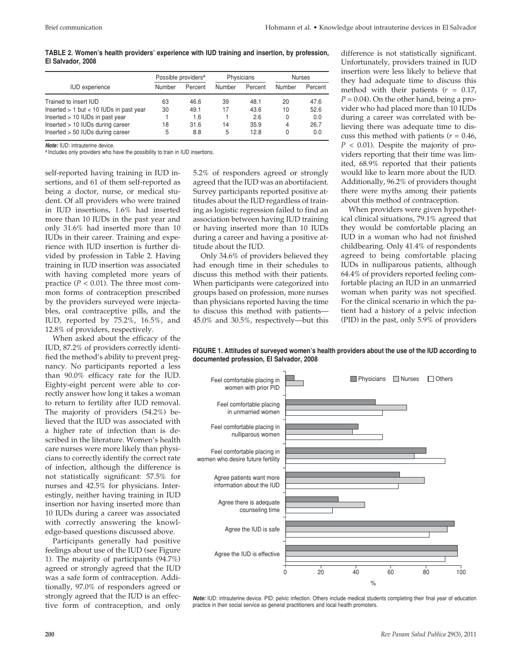| TABLE 2. Women's health providers' experience with IUD training and insertion, by profession, |  |  |  |  |
|-----------------------------------------------------------------------------------------------|--|--|--|--|
| El Salvador, 2008                                                                             |  |  |  |  |

|                                             | Possible providers <sup>a</sup> |         | Physicians |         | <b>Nurses</b> |         |
|---------------------------------------------|---------------------------------|---------|------------|---------|---------------|---------|
| <b>IUD</b> experience                       | Number                          | Percent | Number     | Percent | Number        | Percent |
| Trained to insert IUD                       | 63                              | 46.6    | 39         | 48.1    | 20            | 47.6    |
| Inserted $> 1$ but $< 10$ IUDs in past year | 30                              | 49.1    | 17         | 43.6    | 10            | 52.6    |
| Inserted > 10 IUDs in past year             |                                 | 1.6     |            | 2.6     | 0             | 0.0     |
| Inserted > 10 IUDs during career            | 18                              | 31.6    | 14         | 35.9    | 4             | 26.7    |
| Inserted > 50 IUDs during career            | 5                               | 8.8     | 5          | 12.8    | 0             | 0.0     |

**Note:** IUD: intrauterine device.

a Includes only providers who have the possibility to train in IUD insertions.

self-reported having training in IUD insertions, and 61 of them self-reported as being a doctor, nurse, or medical student. Of all providers who were trained in IUD insertions, 1.6% had inserted more than 10 IUDs in the past year and only 31.6% had inserted more than 10 IUDs in their career. Training and experience with IUD insertion is further divided by profession in Table 2. Having training in IUD insertion was associated with having completed more years of practice ( $P < 0.01$ ). The three most common forms of contraception prescribed by the providers surveyed were injectables, oral contraceptive pills, and the IUD, reported by 75.2%, 16.5%, and 12.8% of providers, respectively.

When asked about the efficacy of the IUD, 87.2% of providers correctly identified the method's ability to prevent pregnancy. No participants reported a less than 90.0% efficacy rate for the IUD. Eighty-eight percent were able to correctly answer how long it takes a woman to return to fertility after IUD removal. The majority of providers (54.2%) believed that the IUD was associated with a higher rate of infection than is described in the literature. Women's health care nurses were more likely than physicians to correctly identify the correct rate of infection, although the difference is not statistically significant: 57.5% for nurses and 42.5% for physicians. Interestingly, neither having training in IUD insertion nor having inserted more than 10 IUDs during a career was associated with correctly answering the knowledge-based questions discussed above.

Participants generally had positive feelings about use of the IUD (see Figure 1). The majority of participants (94.7%) agreed or strongly agreed that the IUD was a safe form of contraception. Additionally, 97.0% of responders agreed or strongly agreed that the IUD is an effective form of contraception, and only 5.2% of responders agreed or strongly agreed that the IUD was an abortifacient. Survey participants reported positive attitudes about the IUD regardless of training as logistic regression failed to find an association between having IUD training or having inserted more than 10 IUDs during a career and having a positive attitude about the IUD.

Only 34.6% of providers believed they had enough time in their schedules to discuss this method with their patients. When participants were categorized into groups based on profession, more nurses than physicians reported having the time to discuss this method with patients— 45.0% and 30.5%, respectively—but this difference is not statistically significant. Unfortunately, providers trained in IUD insertion were less likely to believe that they had adequate time to discuss this method with their patients (*r* = 0.17,  $P = 0.04$ ). On the other hand, being a provider who had placed more than 10 IUDs during a career was correlated with believing there was adequate time to discuss this method with patients (*r* = 0.46, *P* < 0.01). Despite the majority of providers reporting that their time was limited, 68.9% reported that their patients would like to learn more about the IUD. Additionally, 96.2% of providers thought there were myths among their patients about this method of contraception.

When providers were given hypothetical clinical situations, 79.1% agreed that they would be comfortable placing an IUD in a woman who had not finished childbearing. Only 41.4% of respondents agreed to being comfortable placing IUDs in nulliparous patients, although 64.4% of providers reported feeling comfortable placing an IUD in an unmarried woman when parity was not specified. For the clinical scenario in which the patient had a history of a pelvic infection (PID) in the past, only 5.9% of providers

**FIGURE 1. Attitudes of surveyed women's health providers about the use of the IUD according to documented profession, El Salvador, 2008**



**Note:** IUD: intrauterine device. PID: pelvic infection. Others include medical students completing their final year of education practice in their social service as general practitioners and local health promoters.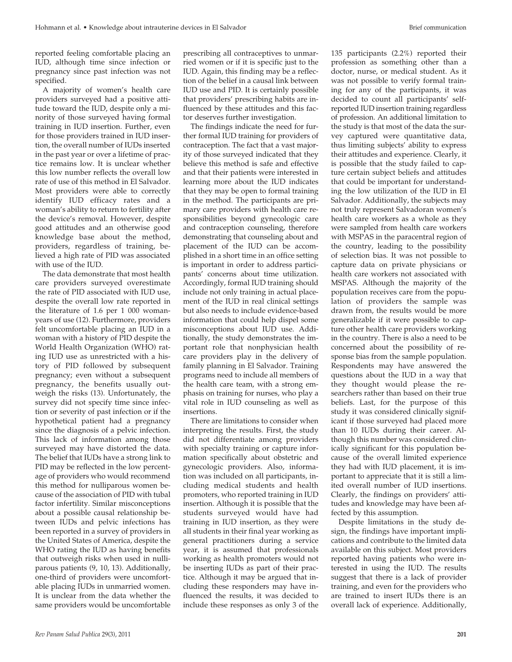reported feeling comfortable placing an IUD, although time since infection or pregnancy since past infection was not specified.

A majority of women's health care providers surveyed had a positive attitude toward the IUD, despite only a minority of those surveyed having formal training in IUD insertion. Further, even for those providers trained in IUD insertion, the overall number of IUDs inserted in the past year or over a lifetime of practice remains low. It is unclear whether this low number reflects the overall low rate of use of this method in El Salvador. Most providers were able to correctly identify IUD efficacy rates and a woman's ability to return to fertility after the device's removal. However, despite good attitudes and an otherwise good knowledge base about the method, providers, regardless of training, believed a high rate of PID was associated with use of the IUD.

The data demonstrate that most health care providers surveyed overestimate the rate of PID associated with IUD use, despite the overall low rate reported in the literature of 1.6 per 1 000 womanyears of use (12). Furthermore, providers felt uncomfortable placing an IUD in a woman with a history of PID despite the World Health Organization (WHO) rating IUD use as unrestricted with a history of PID followed by subsequent pregnancy; even without a subsequent pregnancy, the benefits usually outweigh the risks (13). Unfortunately, the survey did not specify time since infection or severity of past infection or if the hypothetical patient had a pregnancy since the diagnosis of a pelvic infection. This lack of information among those surveyed may have distorted the data. The belief that IUDs have a strong link to PID may be reflected in the low percentage of providers who would recommend this method for nulliparous women because of the association of PID with tubal factor infertility. Similar misconceptions about a possible causal relationship between IUDs and pelvic infections has been reported in a survey of providers in the United States of America, despite the WHO rating the IUD as having benefits that outweigh risks when used in nulliparous patients (9, 10, 13). Additionally, one-third of providers were uncomfortable placing IUDs in unmarried women. It is unclear from the data whether the same providers would be uncomfortable

prescribing all contraceptives to unmarried women or if it is specific just to the IUD. Again, this finding may be a reflection of the belief in a causal link between IUD use and PID. It is certainly possible that providers' prescribing habits are influenced by these attitudes and this factor deserves further investigation.

The findings indicate the need for further formal IUD training for providers of contraception. The fact that a vast majority of those surveyed indicated that they believe this method is safe and effective and that their patients were interested in learning more about the IUD indicates that they may be open to formal training in the method. The participants are primary care providers with health care responsibilities beyond gynecologic care and contraception counseling, therefore demonstrating that counseling about and placement of the IUD can be accomplished in a short time in an office setting is important in order to address participants' concerns about time utilization. Accordingly, formal IUD training should include not only training in actual placement of the IUD in real clinical settings but also needs to include evidence-based information that could help dispel some misconceptions about IUD use. Additionally, the study demonstrates the important role that nonphysician health care providers play in the delivery of family planning in El Salvador. Training programs need to include all members of the health care team, with a strong emphasis on training for nurses, who play a vital role in IUD counseling as well as insertions.

There are limitations to consider when interpreting the results. First, the study did not differentiate among providers with specialty training or capture information specifically about obstetric and gynecologic providers. Also, information was included on all participants, including medical students and health promoters, who reported training in IUD insertion. Although it is possible that the students surveyed would have had training in IUD insertion, as they were all students in their final year working as general practitioners during a service year, it is assumed that professionals working as health promoters would not be inserting IUDs as part of their practice. Although it may be argued that including these responders may have influenced the results, it was decided to include these responses as only 3 of the

135 participants (2.2%) reported their profession as something other than a doctor, nurse, or medical student. As it was not possible to verify formal training for any of the participants, it was decided to count all participants' selfreported IUD insertion training regardless of profession. An additional limitation to the study is that most of the data the survey captured were quantitative data, thus limiting subjects' ability to express their attitudes and experience. Clearly, it is possible that the study failed to capture certain subject beliefs and attitudes that could be important for understanding the low utilization of the IUD in El Salvador. Additionally, the subjects may not truly represent Salvadoran women's health care workers as a whole as they were sampled from health care workers with MSPAS in the paracentral region of the country, leading to the possibility of selection bias. It was not possible to capture data on private physicians or health care workers not associated with MSPAS. Although the majority of the population receives care from the population of providers the sample was drawn from, the results would be more generalizable if it were possible to capture other health care providers working in the country. There is also a need to be concerned about the possibility of response bias from the sample population. Respondents may have answered the questions about the IUD in a way that they thought would please the researchers rather than based on their true beliefs. Last, for the purpose of this study it was considered clinically significant if those surveyed had placed more than 10 IUDs during their career. Although this number was considered clinically significant for this population because of the overall limited experience they had with IUD placement, it is important to appreciate that it is still a limited overall number of IUD insertions. Clearly, the findings on providers' attitudes and knowledge may have been affected by this assumption.

Despite limitations in the study design, the findings have important implications and contribute to the limited data available on this subject. Most providers reported having patients who were interested in using the IUD. The results suggest that there is a lack of provider training, and even for the providers who are trained to insert IUDs there is an overall lack of experience. Additionally,